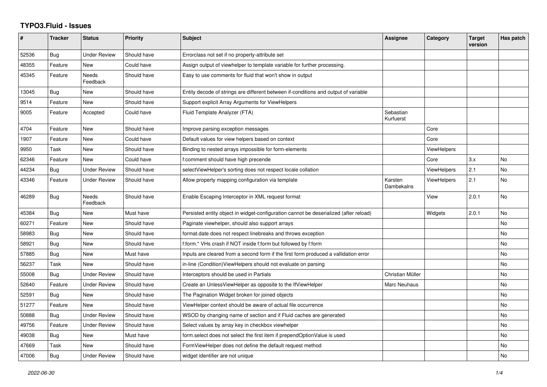## **TYPO3.Fluid - Issues**

| #     | <b>Tracker</b> | <b>Status</b>       | <b>Priority</b> | <b>Subject</b>                                                                        | <b>Assignee</b>        | Category           | <b>Target</b><br>version | Has patch |
|-------|----------------|---------------------|-----------------|---------------------------------------------------------------------------------------|------------------------|--------------------|--------------------------|-----------|
| 52536 | Bug            | Under Review        | Should have     | Errorclass not set if no property-attribute set                                       |                        |                    |                          |           |
| 48355 | Feature        | <b>New</b>          | Could have      | Assign output of viewhelper to template variable for further processing.              |                        |                    |                          |           |
| 45345 | Feature        | Needs<br>Feedback   | Should have     | Easy to use comments for fluid that won't show in output                              |                        |                    |                          |           |
| 13045 | <b>Bug</b>     | New                 | Should have     | Entity decode of strings are different between if-conditions and output of variable   |                        |                    |                          |           |
| 9514  | Feature        | <b>New</b>          | Should have     | Support explicit Array Arguments for ViewHelpers                                      |                        |                    |                          |           |
| 9005  | Feature        | Accepted            | Could have      | Fluid Template Analyzer (FTA)                                                         | Sebastian<br>Kurfuerst |                    |                          |           |
| 4704  | Feature        | New                 | Should have     | Improve parsing exception messages                                                    |                        | Core               |                          |           |
| 1907  | Feature        | New                 | Could have      | Default values for view helpers based on context                                      |                        | Core               |                          |           |
| 9950  | Task           | <b>New</b>          | Should have     | Binding to nested arrays impossible for form-elements                                 |                        | <b>ViewHelpers</b> |                          |           |
| 62346 | Feature        | New                 | Could have      | f:comment should have high precende                                                   |                        | Core               | 3.x                      | No        |
| 44234 | Bug            | <b>Under Review</b> | Should have     | selectViewHelper's sorting does not respect locale collation                          |                        | <b>ViewHelpers</b> | 2.1                      | <b>No</b> |
| 43346 | Feature        | <b>Under Review</b> | Should have     | Allow property mapping configuration via template                                     | Karsten<br>Dambekalns  | <b>ViewHelpers</b> | 2.1                      | <b>No</b> |
| 46289 | <b>Bug</b>     | Needs<br>Feedback   | Should have     | Enable Escaping Interceptor in XML request format                                     |                        | View               | 2.0.1                    | <b>No</b> |
| 45384 | Bug            | New                 | Must have       | Persisted entity object in widget-configuration cannot be deserialized (after reload) |                        | Widgets            | 2.0.1                    | <b>No</b> |
| 60271 | Feature        | New                 | Should have     | Paginate viewhelper, should also support arrays                                       |                        |                    |                          | No        |
| 58983 | Bug            | New                 | Should have     | format.date does not respect linebreaks and throws exception                          |                        |                    |                          | <b>No</b> |
| 58921 | <b>Bug</b>     | New                 | Should have     | f:form.* VHs crash if NOT inside f:form but followed by f:form                        |                        |                    |                          | No        |
| 57885 | <b>Bug</b>     | <b>New</b>          | Must have       | Inputs are cleared from a second form if the first form produced a vallidation error  |                        |                    |                          | <b>No</b> |
| 56237 | Task           | New                 | Should have     | in-line (Condition) ViewHelpers should not evaluate on parsing                        |                        |                    |                          | No        |
| 55008 | Bug            | <b>Under Review</b> | Should have     | Interceptors should be used in Partials                                               | Christian Müller       |                    |                          | <b>No</b> |
| 52640 | Feature        | <b>Under Review</b> | Should have     | Create an UnlessViewHelper as opposite to the IfViewHelper                            | Marc Neuhaus           |                    |                          | No        |
| 52591 | <b>Bug</b>     | New                 | Should have     | The Pagination Widget broken for joined objects                                       |                        |                    |                          | <b>No</b> |
| 51277 | Feature        | New                 | Should have     | ViewHelper context should be aware of actual file occurrence                          |                        |                    |                          | No        |
| 50888 | <b>Bug</b>     | <b>Under Review</b> | Should have     | WSOD by changing name of section and if Fluid caches are generated                    |                        |                    |                          | No        |
| 49756 | Feature        | <b>Under Review</b> | Should have     | Select values by array key in checkbox viewhelper                                     |                        |                    |                          | No        |
| 49038 | <b>Bug</b>     | New                 | Must have       | form.select does not select the first item if prependOptionValue is used              |                        |                    |                          | No        |
| 47669 | Task           | New                 | Should have     | FormViewHelper does not define the default request method                             |                        |                    |                          | No        |
| 47006 | Bug            | <b>Under Review</b> | Should have     | widget identifier are not unique                                                      |                        |                    |                          | <b>No</b> |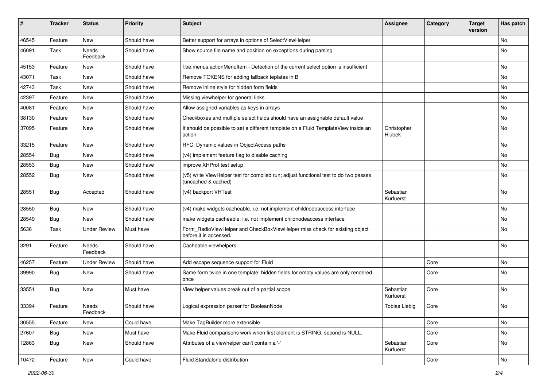| #     | <b>Tracker</b> | <b>Status</b>       | <b>Priority</b> | <b>Subject</b>                                                                                              | <b>Assignee</b>        | Category | <b>Target</b><br>version | Has patch |
|-------|----------------|---------------------|-----------------|-------------------------------------------------------------------------------------------------------------|------------------------|----------|--------------------------|-----------|
| 46545 | Feature        | New                 | Should have     | Better support for arrays in options of SelectViewHelper                                                    |                        |          |                          | <b>No</b> |
| 46091 | Task           | Needs<br>Feedback   | Should have     | Show source file name and position on exceptions during parsing                                             |                        |          |                          | No        |
| 45153 | Feature        | New                 | Should have     | f:be.menus.actionMenuItem - Detection of the current select option is insufficient                          |                        |          |                          | <b>No</b> |
| 43071 | Task           | New                 | Should have     | Remove TOKENS for adding fallback teplates in B                                                             |                        |          |                          | No        |
| 42743 | Task           | New                 | Should have     | Remove inline style for hidden form fields                                                                  |                        |          |                          | No        |
| 42397 | Feature        | New                 | Should have     | Missing viewhelper for general links                                                                        |                        |          |                          | No        |
| 40081 | Feature        | New                 | Should have     | Allow assigned variables as keys in arrays                                                                  |                        |          |                          | No        |
| 38130 | Feature        | New                 | Should have     | Checkboxes and multiple select fields should have an assignable default value                               |                        |          |                          | No        |
| 37095 | Feature        | New                 | Should have     | It should be possible to set a different template on a Fluid TemplateView inside an<br>action               | Christopher<br>Hlubek  |          |                          | No        |
| 33215 | Feature        | <b>New</b>          | Should have     | RFC: Dynamic values in ObjectAccess paths                                                                   |                        |          |                          | No        |
| 28554 | Bug            | New                 | Should have     | (v4) implement feature flag to disable caching                                                              |                        |          |                          | No        |
| 28553 | Bug            | <b>New</b>          | Should have     | improve XHProf test setup                                                                                   |                        |          |                          | <b>No</b> |
| 28552 | Bug            | New                 | Should have     | (v5) write ViewHelper test for compiled run; adjust functional test to do two passes<br>(uncached & cached) |                        |          |                          | No        |
| 28551 | Bug            | Accepted            | Should have     | (v4) backport VHTest                                                                                        | Sebastian<br>Kurfuerst |          |                          | No        |
| 28550 | Bug            | New                 | Should have     | (v4) make widgets cacheable, i.e. not implement childnodeaccess interface                                   |                        |          |                          | No        |
| 28549 | Bug            | <b>New</b>          | Should have     | make widgets cacheable, i.e. not implement childnodeaccess interface                                        |                        |          |                          | No        |
| 5636  | Task           | <b>Under Review</b> | Must have       | Form_RadioViewHelper and CheckBoxViewHelper miss check for existing object<br>before it is accessed.        |                        |          |                          | No        |
| 3291  | Feature        | Needs<br>Feedback   | Should have     | Cacheable viewhelpers                                                                                       |                        |          |                          | <b>No</b> |
| 46257 | Feature        | <b>Under Review</b> | Should have     | Add escape sequence support for Fluid                                                                       |                        | Core     |                          | No        |
| 39990 | Bug            | New                 | Should have     | Same form twice in one template: hidden fields for empty values are only rendered<br>once                   |                        | Core     |                          | No        |
| 33551 | <b>Bug</b>     | New                 | Must have       | View helper values break out of a partial scope                                                             | Sebastian<br>Kurfuerst | Core     |                          | <b>No</b> |
| 33394 | Feature        | Needs<br>Feedback   | Should have     | Logical expression parser for BooleanNode                                                                   | <b>Tobias Liebig</b>   | Core     |                          | No        |
| 30555 | Feature        | New                 | Could have      | Make TagBuilder more extensible                                                                             |                        | Core     |                          | No        |
| 27607 | Bug            | New                 | Must have       | Make Fluid comparisons work when first element is STRING, second is NULL.                                   |                        | Core     |                          | No        |
| 12863 | <b>Bug</b>     | New                 | Should have     | Attributes of a viewhelper can't contain a '-'                                                              | Sebastian<br>Kurfuerst | Core     |                          | No        |
| 10472 | Feature        | New                 | Could have      | Fluid Standalone distribution                                                                               |                        | Core     |                          | No        |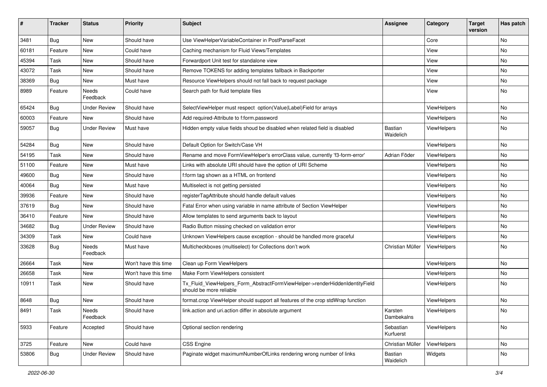| #     | Tracker    | <b>Status</b>       | <b>Priority</b>      | <b>Subject</b>                                                                                         | <b>Assignee</b>        | Category           | <b>Target</b><br>version | Has patch |
|-------|------------|---------------------|----------------------|--------------------------------------------------------------------------------------------------------|------------------------|--------------------|--------------------------|-----------|
| 3481  | <b>Bug</b> | New                 | Should have          | Use ViewHelperVariableContainer in PostParseFacet                                                      |                        | Core               |                          | <b>No</b> |
| 60181 | Feature    | New                 | Could have           | Caching mechanism for Fluid Views/Templates                                                            |                        | View               |                          | No        |
| 45394 | Task       | New                 | Should have          | Forwardport Unit test for standalone view                                                              |                        | View               |                          | No        |
| 43072 | Task       | New                 | Should have          | Remove TOKENS for adding templates fallback in Backporter                                              |                        | View               |                          | No        |
| 38369 | <b>Bug</b> | New                 | Must have            | Resource ViewHelpers should not fall back to request package                                           |                        | View               |                          | No        |
| 8989  | Feature    | Needs<br>Feedback   | Could have           | Search path for fluid template files                                                                   |                        | View               |                          | No        |
| 65424 | <b>Bug</b> | Under Review        | Should have          | SelectViewHelper must respect option(Value Label)Field for arrays                                      |                        | ViewHelpers        |                          | <b>No</b> |
| 60003 | Feature    | New                 | Should have          | Add required-Attribute to f:form.password                                                              |                        | ViewHelpers        |                          | No        |
| 59057 | Bug        | Under Review        | Must have            | Hidden empty value fields shoud be disabled when related field is disabled                             | Bastian<br>Waidelich   | ViewHelpers        |                          | No        |
| 54284 | <b>Bug</b> | New                 | Should have          | Default Option for Switch/Case VH                                                                      |                        | ViewHelpers        |                          | No        |
| 54195 | Task       | New                 | Should have          | Rename and move FormViewHelper's errorClass value, currently 'f3-form-error'                           | Adrian Föder           | ViewHelpers        |                          | No        |
| 51100 | Feature    | New                 | Must have            | Links with absolute URI should have the option of URI Scheme                                           |                        | ViewHelpers        |                          | No        |
| 49600 | Bug        | New                 | Should have          | f:form tag shown as a HTML on frontend                                                                 |                        | ViewHelpers        |                          | No        |
| 40064 | Bug        | New                 | Must have            | Multiselect is not getting persisted                                                                   |                        | ViewHelpers        |                          | No        |
| 39936 | Feature    | New                 | Should have          | registerTagAttribute should handle default values                                                      |                        | ViewHelpers        |                          | No        |
| 37619 | Bug        | New                 | Should have          | Fatal Error when using variable in name attribute of Section ViewHelper                                |                        | ViewHelpers        |                          | No        |
| 36410 | Feature    | New                 | Should have          | Allow templates to send arguments back to layout                                                       |                        | ViewHelpers        |                          | No        |
| 34682 | Bug        | <b>Under Review</b> | Should have          | Radio Button missing checked on validation error                                                       |                        | ViewHelpers        |                          | No        |
| 34309 | Task       | New                 | Could have           | Unknown ViewHelpers cause exception - should be handled more graceful                                  |                        | ViewHelpers        |                          | No        |
| 33628 | Bug        | Needs<br>Feedback   | Must have            | Multicheckboxes (multiselect) for Collections don't work                                               | Christian Müller       | ViewHelpers        |                          | No        |
| 26664 | Task       | New                 | Won't have this time | Clean up Form ViewHelpers                                                                              |                        | ViewHelpers        |                          | No        |
| 26658 | Task       | New                 | Won't have this time | Make Form ViewHelpers consistent                                                                       |                        | <b>ViewHelpers</b> |                          | No        |
| 10911 | Task       | New                 | Should have          | Tx_Fluid_ViewHelpers_Form_AbstractFormViewHelper->renderHiddenIdentityField<br>should be more reliable |                        | ViewHelpers        |                          | No        |
| 8648  | <b>Bug</b> | New                 | Should have          | format.crop ViewHelper should support all features of the crop stdWrap function                        |                        | ViewHelpers        |                          | No        |
| 8491  | Task       | Needs<br>Feedback   | Should have          | link.action and uri.action differ in absolute argument                                                 | Karsten<br>Dambekalns  | ViewHelpers        |                          | No.       |
| 5933  | Feature    | Accepted            | Should have          | Optional section rendering                                                                             | Sebastian<br>Kurfuerst | ViewHelpers        |                          | No        |
| 3725  | Feature    | New                 | Could have           | CSS Engine                                                                                             | Christian Müller       | ViewHelpers        |                          | No        |
| 53806 | <b>Bug</b> | <b>Under Review</b> | Should have          | Paginate widget maximumNumberOfLinks rendering wrong number of links                                   | Bastian<br>Waidelich   | Widgets            |                          | No        |